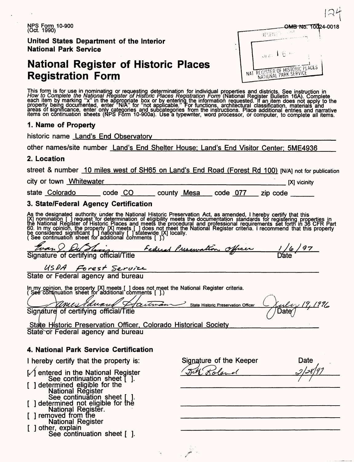NPS Form 10-900 (Oct. 1990)

**United States Department of the Interior National Park Service**

## **National Register of Historic Places Registration Form**

| <b>MB No. 10024-001</b>                        |  |
|------------------------------------------------|--|
| ಾನ<br>REGENSEE.                                |  |
| Sive 1.6 mm<br>NAT REGISTER OF HISTORIC PLACES |  |

This form is for use in nominating or requesting determination for individual properties and districts. See instruction in<br>How to Complete the National Register of Historic Places Registration Form (National Register Bulle each item by marking "x" in the appropriate box or by entering the information requested. If an item does not apply to the<br>property being documented, enter "N/A" for "not applicable." For functions, architectural classific

### **1. Name of Property**

historic name Land's End Observatory

other names/site number Land's End Shelter House: Land's End Visitor Center: 5ME4936

### **2. Location**

street & number 10 miles west of SH65 on Land's End Road (Forest Rd 100) [N/A] not for publication

city or town Whitewater [X] vicinity

state Colorado code CO county Mesa code 077 zip code

### **3. State/Federal Agency Certification**

As the designated authority under the National Historic Preservation Act, as amended, I hereby certify that this<br>[X] nomination [ ] request for determination of eligibility meets the documentation standards for registering 60. In my opinioň, the property [X] meets [ ] does not meet the National Register criteria. I recommend that this property<br>be considered significant [ ] nationally [ ] statewide [X] locally.<br>( See continuation sheet for ad

| Evan & Outshow                         | Federal Preservation Officer | 1/6/97 |
|----------------------------------------|------------------------------|--------|
| Signature of certifying official/Title |                              | D'ate  |

 $USDA$  Forest Service<br>State or Federal agency and bureau

In my opinion, the property [X] meets [ ] does not meet the National Register criteria.<br>( Şee continuation sheet for additional comments [ ].)

Eduard itma *tfit&Z* , 19, 1996 State Historic Preservation Officer Signature of certifying official/Title Date $\acute{\;}$ 

State Historic Preservation Officer, Colorado Historical Society State or Federal agency and bureau

### **4. National Park Service Certification**

I hereby certify that the property is:

[/] entered in the National Register See continuation sheet [ ]. [ ] determined eligible for the National Register See continuation sheet [ ]. ] determined not eligible for the National Register. ] removed from the National Register [ ] other, explain

See continuation sheet [ ].

Signature of the Keeper f / *&SI***———«^( \_\_\_\_\_\_\_\_\_\_** Date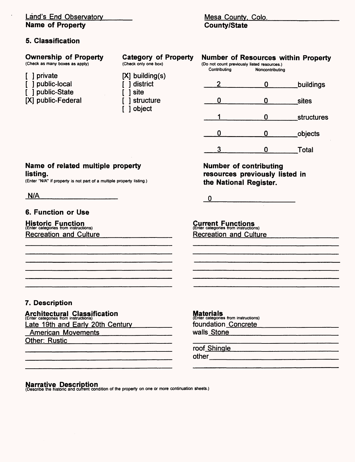### Land's End Observatory **Name of Property**

### **5. Classification**

 $\cdot$ 

### Mesa County, Colo. **County/State**

| <b>Ownership of Property</b><br>(Check as many boxes as apply)                                                         | <b>Category of Property</b><br>(Check only one box) | Contributing                                                                                      | <b>Number of Resources within Property</b><br>(Do not count previously listed resources.)<br>Noncontributing  |            |
|------------------------------------------------------------------------------------------------------------------------|-----------------------------------------------------|---------------------------------------------------------------------------------------------------|---------------------------------------------------------------------------------------------------------------|------------|
| private<br>public-local<br>public-State                                                                                | $[X]$ building(s)<br>district<br>site               | 2                                                                                                 | 0                                                                                                             | buildings  |
| [X] public-Federal                                                                                                     | structure<br>object                                 | 0                                                                                                 | 0                                                                                                             | sites      |
|                                                                                                                        |                                                     |                                                                                                   | 0                                                                                                             | structures |
|                                                                                                                        |                                                     | 0                                                                                                 | 0                                                                                                             | objects    |
|                                                                                                                        |                                                     | 3                                                                                                 | $\bf{0}$                                                                                                      | Total      |
| Name of related multiple property<br>listing.<br>(Enter "N/A" if property is not part of a multiple property listing.) |                                                     | the National Register.                                                                            | <b>Number of contributing</b><br>resources previously listed in                                               |            |
| N/A                                                                                                                    |                                                     | $\mathbf 0$                                                                                       |                                                                                                               |            |
| <b>6. Function or Use</b>                                                                                              |                                                     |                                                                                                   |                                                                                                               |            |
| <b>Historic Function</b><br>(Enter categories from instructions)<br><b>Recreation and Culture</b>                      |                                                     | <b>Current Functions</b><br>(Enter categories from instructions)<br><b>Recreation and Culture</b> |                                                                                                               |            |
|                                                                                                                        |                                                     |                                                                                                   |                                                                                                               |            |
|                                                                                                                        |                                                     |                                                                                                   |                                                                                                               |            |
|                                                                                                                        |                                                     |                                                                                                   |                                                                                                               |            |
|                                                                                                                        |                                                     |                                                                                                   |                                                                                                               |            |
| 7. Description                                                                                                         |                                                     |                                                                                                   |                                                                                                               |            |
| <b>Architectural Classification</b>                                                                                    |                                                     | <b>Materials</b><br>(Enter categories from instructions)                                          |                                                                                                               |            |
| Late 19th and Early 20th Century                                                                                       | foundation Concrete                                 |                                                                                                   |                                                                                                               |            |
| <b>American Movements</b><br><b>Other: Rustic</b>                                                                      |                                                     | walls_Stone                                                                                       |                                                                                                               |            |
|                                                                                                                        |                                                     | roof Shingle                                                                                      |                                                                                                               |            |
|                                                                                                                        |                                                     |                                                                                                   | other and the contract of the contract of the contract of the contract of the contract of the contract of the |            |
|                                                                                                                        |                                                     |                                                                                                   |                                                                                                               |            |

**Narrative Description**<br>(Describe the historic and current condition of the property on one or more continuation sheets.)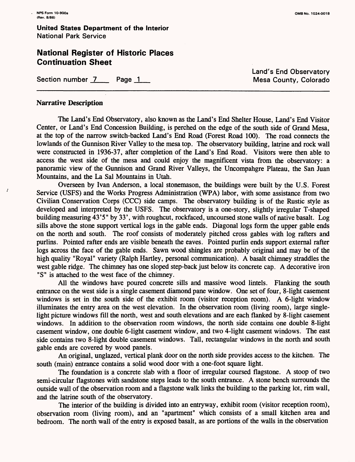$\overline{1}$ 

### **National Register of Historic Places Continuation Sheet**

Section number 7 Page 1 Research Mesa County, Colorado

Land's End Observatory

### **Narrative Description**

The Land's End Observatory, also known as the Land's End Shelter House, Land's End Visitor Center, or Land's End Concession Building, is perched on the edge of the south side of Grand Mesa, at the top of the narrow switch-backed Land's End Road (Forest Road 100). The road connects the lowlands of the Gunnison River Valley to the mesa top. The observatory building, latrine and rock wall were constructed in 1936-37, after completion of the Land's End Road. Visitors were then able to access the west side of the mesa and could enjoy the magnificent vista from the observatory: a panoramic view of the Gunnison and Grand River Valleys, the Uncompahgre Plateau, the San Juan Mountains, and the La Sal Mountains in Utah.

Overseen by Ivan Anderson, a local stonemason, the buildings were built by the U.S. Forest Service (USFS) and the Works Progress Administration (WPA) labor, with some assistance from two Civilian Conservation Corps (CCC) side camps. The observatory building is of the Rustic style as developed and interpreted by the USFS. The observatory is a one-story, slightly irregular T-shaped building measuring 43'5" by 33', with roughcut, rockfaced, uncoursed stone walls of native basalt. Log sills above the stone support vertical logs in the gable ends. Diagonal logs form the upper gable ends on the north and south. The roof consists of moderately pitched cross gables with log rafters and purlins. Pointed rafter ends are visible beneath the eaves. Pointed purlin ends support external rafter logs across the face of the gable ends. Sawn wood shingles are probably original and may be of the high quality "Royal" variety (Ralph Hartley, personal communication). A basalt chimney straddles the west gable ridge. The chimney has one sloped step-back just below its concrete cap. A decorative iron "S" is attached to the west face of the chimney.

All the windows have poured concrete sills and massive wood lintels. Flanking the south entrance on the west side is a single casement diamond pane window. One set of four, 8-light casement windows is set in the south side of the exhibit room (visitor reception room). A 6-light window illuminates the entry area on the west elevation. In the observation room (living room), large singlelight picture windows fill the north, west and south elevations and are each flanked by 8-light casement windows. In addition to the observation room windows, the north side contains one double 8-light casement window, one double 6-light casement window, and two 4-light casement windows. The east side contains two 8-light double casement windows. Tall, rectangular windows in the north and south gable ends are covered by wood panels.

An original, unglazed, vertical plank door on the north side provides access to the kitchen. The south (main) entrance contains a solid wood door with a one-foot square light.

The foundation is a concrete slab with a floor of irregular coursed flagstone. A stoop of two semi-circular flagstones with sandstone steps leads to the south entrance. A stone bench surrounds the outside wall of the observation room and a flagstone walk links the building to the parking lot, rim wall, and the latrine south of the observatory.

The interior of the building is divided into an entryway, exhibit room (visitor reception room), observation room (living room), and an "apartment" which consists of a small kitchen area and bedroom. The north wall of the entry is exposed basalt, as are portions of the walls in the observation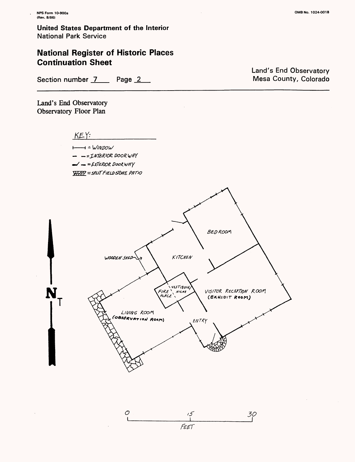N.

**United States Department of the Interior** National Park Service

### **National Register of Historic Places Continuation Sheet**

Land's End Observatory Mesa County, Colorado

Section number 7 Page 2

Land's End Observatory Observatory Floor Plan

 $K E Y$ 

 $+$  = WINDOW - -= INTERIOR DOOR WAY  $\rightarrow$  =  $EXTEROR$  DOOR WAY  $\overline{X}$  $\overline{X}$  $\overline{X}$  $\overline{Y}$  =  $5$  $\overline{P}$  $\overline{U}$  $\overline{Y}$  $\overline{F}$  $\overline{I}$  $\overline{E}$  $\overline{L}$  $\overline{D}$  $\overline{S}$  $\overline{C}$  $\overline{F}$  $\overline{F}$  $\overline{I}$  $\overline{C}$  $\overline{Y}$  $\overline{C}$  $\overline{Y}$  $\overline{C}$  $\overline{Y}$  $\overline{C}$  $\overline{Y}$  $\overline{C}$  $\overline{Y}$ 



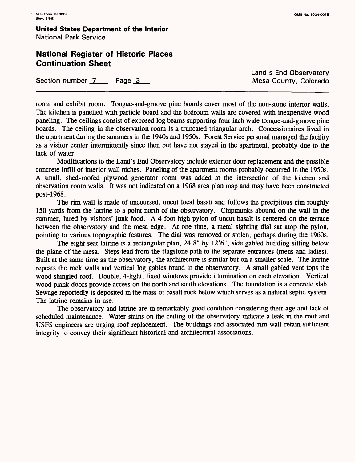### **National Register of Historic Places Continuation Sheet**

Section number 7 Page 3 Page 2 Mesa County, Colorado

Land's End Observatory

room and exhibit room. Tongue-and-groove pine boards cover most of the non-stone interior walls. The kitchen is panelled with particle board and the bedroom walls are covered with inexpensive wood paneling. The ceilings consist of exposed log beams supporting four inch wide tongue-and-groove pine boards. The ceiling in the observation room is a truncated triangular arch. Concessionaires lived in the apartment during the summers in the 1940s and 1950s. Forest Service personal managed the facility as a visitor center intermittently since then but have not stayed in the apartment, probably due to the lack of water.

Modifications to the Land's End Observatory include exterior door replacement and the possible concrete infill of interior wall niches. Paneling of the apartment rooms probably occurred in the 1950s. A small, shed-roofed plywood generator room was added at the intersection of the kitchen and observation room walls. It was not indicated on a 1968 area plan map and may have been constructed post-1968.

The rim wall is made of uncoursed, uncut local basalt and follows the precipitous rim roughly 150 yards from the latrine to a point north of the observatory. Chipmunks abound on the wall in the summer, lured by visitors' junk food. A 4-foot high pylon of uncut basalt is centered on the terrace between the observatory and the mesa edge. At one time, a metal sighting dial sat atop the pylon, pointing to various topographic features. The dial was removed or stolen, perhaps during the 1960s.

The eight seat latrine is a rectangular plan, 24'8" by 12'6", side gabled building sitting below the plane of the mesa. Steps lead from the flagstone path to the separate entrances (mens and ladies). Built at the same time as the observatory, the architecture is similar but on a smaller scale. The latrine repeats the rock walls and vertical log gables found in the observatory. A small gabled vent tops the wood shingled roof. Double, 4-light, fixed windows provide illumination on each elevation. Vertical wood plank doors provide access on the north and south elevations. The foundation is a concrete slab. Sewage reportedly is deposited in the mass of basalt rock below which serves as a natural septic system. The latrine remains in use.

The observatory and latrine are in remarkably good condition considering their age and lack of scheduled maintenance. Water stains on the ceiling of the observatory indicate a leak in the roof and USFS engineers are urging roof replacement. The buildings and associated rim wall retain sufficient integrity to convey their significant historical and architectural associations.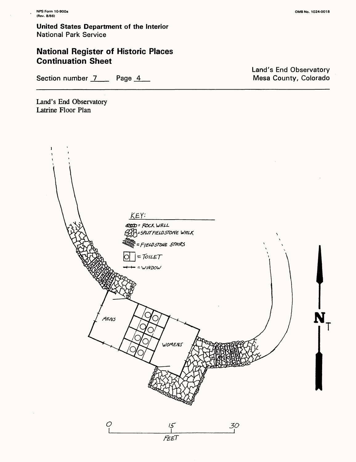### **National Register of Historic Places Continuation Sheet**

Section number 7 Page 4

Land's End Observatory Latrine Floor Plan



Land's End Observatory Mesa County, Colorado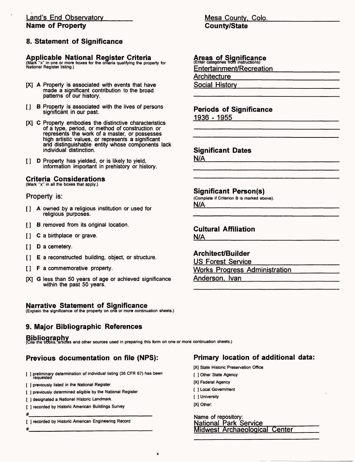#### Land's End Observatory **Name of Property**

### **8. Statement of Significance**

#### **Applicable National Register Criteria**

(Mark "x" in one or more boxes for the criteria qualifying the property for National Register listing.)

- [X] A Property is associated with events that have made a significant contribution to the broad patterns of our history.
- [ ] B Property is associated with the lives of persons significant in our past.
- [X] C Property embodies the distinctive characteristics of a type, period, or method of construction or represents the work of a master, or possesses high artistic values, or represents a significant and distinguishable entity whose components lack individual distinction.
- [ ] D Property has yielded, or is likely to yield, information important in prehistory or history.

### **Criteria Considerations**

(Mark "x" in all the boxes that apply.)

#### Property is:

- [ ] A owned by a religious institution or used for religious purposes.
- [ ] B removed from its original location.
- [ ] C a birthplace or grave.
- [ ] D a cemetery.
- [ ] E a reconstructed building, object, or structure.
- [ ] F a commemorative property.
- [X] G less than 50 years of age or achieved significance within the past 50 years.

#### **Narrative Statement of Significance**

(Explain the significance of the property on one or more continuation sheets.)

### **9. Major Bibliographic References**

**Bibliography** (Cite the books, articles and other sources used in preparing this form on one or more continuation sheets.)

### **Previous documentation on file (NPS):**

- [ ] preliminary determination of individual listing (36 CFR 67) has been requested
- [ ] previously listed in the National Register
- [ ] previously determined eligible by the National Register
- [ ] designated a National Historic Landmark
- [ ] recorded by Historic American Buildings Survey
- #\_\_\_\_\_\_\_\_\_\_\_\_\_\_\_\_\_\_\_\_\_\_\_\_\_\_\_\_\_\_\_\_
- [ ] recorded by Historic American Engineering Record

# \_\_\_\_\_\_\_\_\_\_\_\_\_\_\_\_\_\_\_\_\_\_\_\_\_\_\_

#### Mesa County. Colo. **County/State**

### **Areas of Significance** (Enter categories from instructions)

Entertainment/Recreation

**Architecture** 

Social History

### **Periods of Significance** 1936 - 1955

#### **Significant Dates**

N/A

#### **Significant Person(s)**

(Complete if Criterion B is marked above). N/A

### **Cultural Affiliation**

N/A

### **Architect/Builder**

US Forest Service Works Progress Administration

Anderson. Ivan

### **Primary location of additional data:**

- [X] State Historic Preservation Office
- [ ] Other State Agency
- [X] Federal Agency
- [ ] Local Government
- [ ] University
- [X] Other

Name of repository: National Park Service Midwest Archaeological Center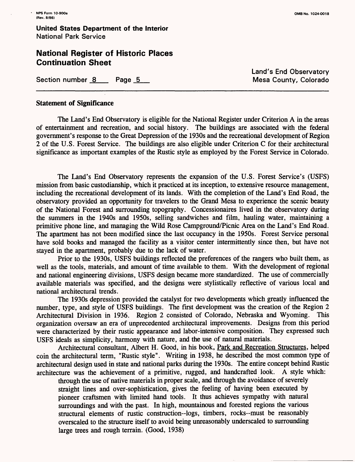### **National Register of Historic Places Continuation Sheet**

Section number 8 Page 5 Page 2008 Nesa County, Colorado

# Land's End Observatory

#### **Statement of Significance**

The Land's End Observatory is eligible for the National Register under Criterion A in the areas of entertainment and recreation, and social history. The buildings are associated with the federal government's response to the Great Depression of the 1930s and the recreational development of Region 2 of the U.S. Forest Service. The buildings are also eligible under Criterion C for their architectural significance as important examples of the Rustic style as employed by the Forest Service in Colorado.

The Land's End Observatory represents the expansion of the U.S. Forest Service's (USFS) mission from basic custodianship, which it practiced at its inception, to extensive resource management, including the recreational development of its lands. With the completion of the Land's End Road, the observatory provided an opportunity for travelers to the Grand Mesa to experience the scenic beauty of the National Forest and surrounding topography. Concessionaires lived in the observatory during the summers in the 1940s and 1950s, selling sandwiches and film, hauling water, maintaining a primitive phone line, and managing the Wild Rose Campground/Picnic Area on the Land's End Road. The apartment has not been modified since the last occupancy in the 1950s. Forest Service personal have sold books and managed the facility as a visitor center intermittently since then, but have not stayed in the apartment, probably due to the lack of water.

Prior to the 1930s, USFS buildings reflected the preferences of the rangers who built them, as well as the tools, materials, and amount of time available to them. With the development of regional and national engineering divisions, USFS design became more standardized. The use of commercially available materials was specified, and the designs were stylistically reflective of various local and national architectural trends.

The 1930s depression provided the catalyst for two developments which greatly influenced the number, type, and style of USFS buildings. The first development was the creation of the Region 2 Architectural Division in 1936. Region 2 consisted of Colorado, Nebraska and Wyoming. This organization oversaw an era of unprecedented architectural improvements. Designs from this period were characterized by their rustic appearance and labor-intensive composition. They expressed such USFS ideals as simplicity, harmony with nature, and the use of natural materials.

Architectural consultant, Albert H. Good, in his book, Park and Recreation Structures, helped coin the architectural term, "Rustic style". Writing in 1938, he described the most common type of architectural design used in state and national parks during the 1930s. The entire concept behind Rustic architecture was the achievement of a primitive, rugged, and handcrafted look. A style which:

through the use of native materials in proper scale, and through the avoidance of severely straight lines and over-sophistication, gives the feeling of having been executed by pioneer craftsmen with limited hand tools. It thus achieves sympathy with natural surroundings and with the past. In high, mountainous and forested regions the various structural elements of rustic construction-logs, timbers, rocks-must be reasonably overscaled to the structure itself to avoid being unreasonably underscaled to surrounding large trees and rough terrain. (Good, 1938)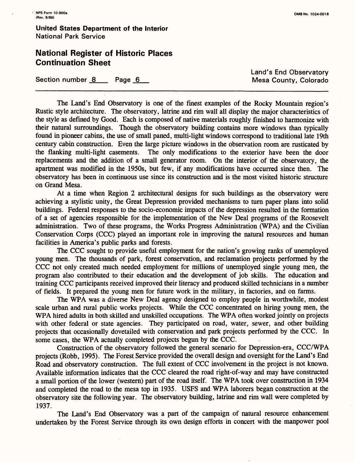### **National Register of Historic Places Continuation Sheet**

Section number 8 Page 6 and Section number 8 and Page 6 and Page 7 and Page 7 and Page 7 and Page 7 and Page 7 and Page 7 and Page 7 and Page 7 and Page 7 and Page 7 and Page 7 and Page 7 and Page 7 and Page 7 and Page 7 a

**Land's End Observatory** 

The Land's End Observatory is one of the finest examples of the Rocky Mountain region's Rustic style architecture. The observatory, latrine and rim wall all display the major characteristics of the style as defined by Good. Each is composed of native materials roughly finished to harmonize with their natural surroundings. Though the observatory building contains more windows than typically found in pioneer cabins, the use of small paned, multi-light windows correspond to traditional late 19th century cabin construction. Even the large picture windows in the observation room are rusticated by the flanking multi-light casements. The only modifications to the exterior have been the door replacements and the addition of a small generator room. On the interior of the observatory, the apartment was modified in the 1950s, but few, if any modifications have occurred since then. The observatory has been in continuous use since its construction and is the most visited historic structure on Grand Mesa.

At a time when Region 2 architectural designs for such buildings as the observatory were achieving a stylistic unity, the Great Depression provided mechanisms to turn paper plans into solid buildings. Federal responses to the socio-economic impacts of the depression resulted in the formation of a set of agencies responsible for the implementation of the New Deal programs of the Roosevelt administration. Two of these programs, the Works Progress Administration (WPA) and the Civilian Conservation Corps (CCC) played an important role in improving the natural resources and human facilities in America's public parks and forests.

The CCC sought to provide useful employment for the nation's growing ranks of unemployed young men. The thousands of park, forest conservation, and reclamation projects performed by the CCC not only created much needed employment for millions of unemployed single young men, the program also contributed to their education and the development of job skills. The education and training CCC participants received improved their literacy and produced skilled technicians in a number of fields. It prepared the young men for future work in the military, in factories, and on farms.

The WPA was a diverse New Deal agency designed to employ people in worthwhile, modest scale urban and rural public works projects. While the CCC concentrated on hiring young men, the WPA hired adults in both skilled and unskilled occupations. The WPA often worked jointly on projects with other federal or state agencies. They participated on road, water, sewer, and other building projects that occasionally dovetailed with conservation and park projects performed by the CCC. In some cases, the WPA actually completed projects begun by the CCC.

Construction of the observatory followed the general scenario for Depression-era, CCC/WPA projects (Robb, 1995). The Forest Service provided the overall design and oversight for the Land's End Road and observatory construction. The full extent of CCC involvement in the project is not known. Available information indicates that the CCC cleared the road right-of-way and may have constructed a small portion of the lower (western) part of the road itself. The WPA took over construction in 1934 and completed the road to the mesa top in 1935. USFS and WPA laborers began construction at the observatory site the following year. The observatory building, latrine and rim wall were completed by 1937.

The Land's End Observatory was a part of the campaign of natural resource enhancement undertaken by the Forest Service through its own design efforts in concert with the manpower pool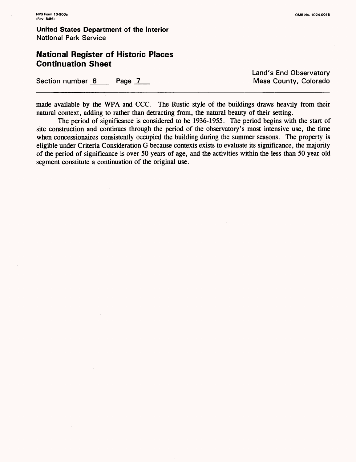### **National Register of Historic Places Continuation Sheet**

Section number 8 Page 7 Page 2 Mesa County, Colorado

Land's End Observatory

made available by the WPA and CCC. The Rustic style of the buildings draws heavily from their natural context, adding to rather than detracting from, the natural beauty of their setting.

The period of significance is considered to be 1936-1955. The period begins with the start of site construction and continues through the period of the observatory's most intensive use, the time when concessionaires consistently occupied the building during the summer seasons. The property is eligible under Criteria Consideration G because contexts exists to evaluate its significance, the majority of the period of significance is over 50 years of age, and the activities within the less than 50 year old segment constitute a continuation of the original use.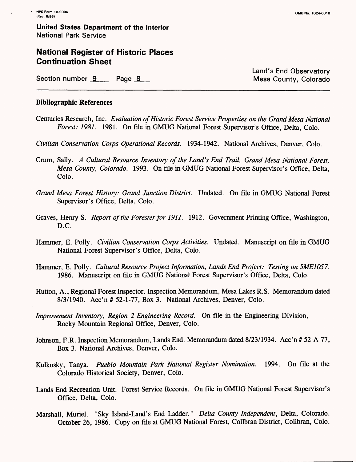### **National Register of Historic Places Continuation Sheet**

Section number 9 Page 8 Assembly Colorado Nesa County, Colorado

Land's End Observatory

#### **Bibliographic References**

Centuries Research, Inc. *Evaluation of Historic Forest Service Properties on the Grand Mesa National Forest: 1981.* 1981. On file in GMUG National Forest Supervisor's Office, Delta, Colo.

*Civilian Conservation Corps Operational Records.* 1934-1942. National Archives, Denver, Colo.

- Crum, Sally. *A Cultural Resource Inventory of the Land's End Trail, Grand Mesa National Forest, Mesa County, Colorado.* 1993. On file in GMUG National Forest Supervisor's Office, Delta, Colo.
- *Grand Mesa Forest History: Grand Junction District.* Undated. On file in GMUG National Forest Supervisor's Office, Delta, Colo.
- Graves, Henry S. *Report of the Forester for 1911.* 1912. Government Printing Office, Washington, D.C.
- Hammer, E. Polly. *Civilian Conservation Corps Activities.* Undated. Manuscript on file in GMUG National Forest Supervisor's Office, Delta, Colo.
- Hammer, E. Polly. *Cultural Resource Project Information, Lands End Project: Testing on 5ME1057.*  1986. Manuscript on file in GMUG National Forest Supervisor's Office, Delta, Colo.
- Hutton, A., Regional Forest Inspector. Inspection Memorandum, Mesa Lakes R.S. Memorandum dated 8/3/1940. Acc'n *#* 52-1-77, Box 3. National Archives, Denver, Colo.
- *Improvement Inventory, Region 2 Engineering Record.* On file in the Engineering Division, Rocky Mountain Regional Office, Denver, Colo.
- Johnson, F.R. Inspection Memorandum, Lands End. Memorandum dated 8/23/1934. Acc'n # 52-A-77, Box 3. National Archives, Denver, Colo.
- Kulkosky, Tanya. *Pueblo Mountain Park National Register Nomination.* 1994. On file at the Colorado Historical Society, Denver, Colo.
- Lands End Recreation Unit. Forest Service Records. On file in GMUG National Forest Supervisor's Office, Delta, Colo.
- Marshall, Muriel. "Sky Island-Land's End Ladder." *Delta County Independent,* Delta, Colorado. October 26, 1986. Copy on file at GMUG National Forest, Collbran District, Collbran, Colo.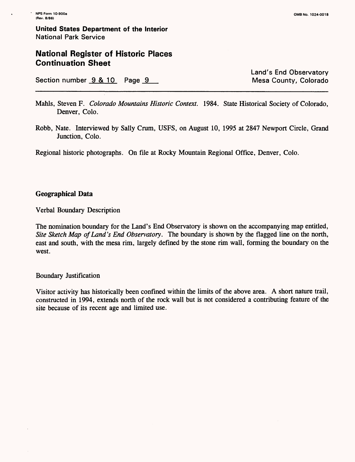### **National Register of Historic Places Continuation Sheet**

Section number  $9 & 10$  Page  $9$ 

Land's End Observatory

- Mahls, Steven F. *Colorado Mountains Historic Context.* 1984. State Historical Society of Colorado, Denver, Colo.
- Robb, Nate. Interviewed by Sally Crum, USFS, on August 10, 1995 at 2847 Newport Circle, Grand Junction, Colo.

Regional historic photographs. On file at Rocky Mountain Regional Office, Denver, Colo.

#### **Geographical Data**

Verbal Boundary Description

The nomination boundary for the Land's End Observatory is shown on the accompanying map entitled, *Site Sketch Map of Land's End Observatory.* The boundary is shown by the flagged line on the north, east and south, with the mesa rim, largely defined by the stone rim wall, forming the boundary on the west.

#### Boundary Justification

Visitor activity has historically been confined within the limits of the above area. A short nature trail, constructed in 1994, extends north of the rock wall but is not considered a contributing feature of the site because of its recent age and limited use.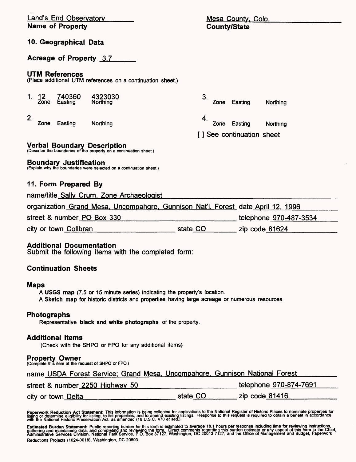| <b>Land's End Observatory</b> |                                 |                                                                                                          | Mesa County, Colo.                                                                                                                                                         |                           |  |
|-------------------------------|---------------------------------|----------------------------------------------------------------------------------------------------------|----------------------------------------------------------------------------------------------------------------------------------------------------------------------------|---------------------------|--|
| <b>Name of Property</b>       |                                 |                                                                                                          | <b>County/State</b>                                                                                                                                                        |                           |  |
|                               | 10. Geographical Data           |                                                                                                          |                                                                                                                                                                            |                           |  |
|                               | Acreage of Property 3.7         |                                                                                                          |                                                                                                                                                                            |                           |  |
|                               | <b>UTM References</b>           | (Place additional UTM references on a continuation sheet.)                                               |                                                                                                                                                                            |                           |  |
| 1. 12                         | 740360<br>Zone Easting          | 4323030<br>Northing                                                                                      | 3.<br>Zone                                                                                                                                                                 | Easting<br>Northing       |  |
| 2.<br>Zone                    | Easting                         | Northing                                                                                                 | 4.<br>Zone                                                                                                                                                                 | Easting<br>Northing       |  |
|                               |                                 |                                                                                                          |                                                                                                                                                                            | [] See continuation sheet |  |
|                               |                                 | <b>Verbal Boundary Description</b><br>(Describe the boundaries of the property on a continuation sheet.) |                                                                                                                                                                            |                           |  |
|                               | <b>Boundary Justification</b>   | (Explain why the boundaries were selected on a continuation sheet.)                                      |                                                                                                                                                                            |                           |  |
|                               | 11. Form Prepared By            |                                                                                                          |                                                                                                                                                                            |                           |  |
|                               |                                 | name/title_Sally_Crum, Zone Archaeologist                                                                |                                                                                                                                                                            |                           |  |
|                               |                                 |                                                                                                          | organization Grand Mesa, Uncompahgre, Gunnison Nat'l. Forest date April 12, 1996                                                                                           |                           |  |
| street & number PO Box 330    |                                 |                                                                                                          | telephone 970-487-3534                                                                                                                                                     |                           |  |
| city or town Collbran         |                                 | state CO                                                                                                 | zip code $81624$                                                                                                                                                           |                           |  |
|                               | <b>Additional Documentation</b> | Submit the following items with the completed form:                                                      |                                                                                                                                                                            |                           |  |
|                               | <b>Continuation Sheets</b>      |                                                                                                          |                                                                                                                                                                            |                           |  |
| <b>Maps</b>                   |                                 |                                                                                                          | A USGS map (7.5 or 15 minute series) indicating the property's location.<br>A Sketch map for historic districts and properties having large acreage or numerous resources. |                           |  |
| Photographs                   |                                 | Representative black and white photographs of the property.                                              |                                                                                                                                                                            |                           |  |
|                               | Additional Items                | (Check with the SHPO or FPO for any additional items)                                                    |                                                                                                                                                                            |                           |  |
|                               | <b>Property Owner</b>           | (Complete this item at the request of SHPO or FPO.)                                                      |                                                                                                                                                                            |                           |  |
|                               |                                 |                                                                                                          | name USDA Forest Service; Grand Mesa, Uncompahgre, Gunnison National Forest                                                                                                |                           |  |
|                               |                                 | street & number 2250 Highway 50                                                                          |                                                                                                                                                                            | telephone 970-874-7691    |  |
|                               | city or town Delta              |                                                                                                          | state CO                                                                                                                                                                   | zip code 81416            |  |
|                               |                                 |                                                                                                          |                                                                                                                                                                            |                           |  |

 $\ddot{\phantom{1}}$ 

Paperwork Reduction Act Statement: This information is being collected for applications to the National Register of Historic Places to nominate properties for<br>listing or determine eligibility for listing, to list propertie

**Estimated Burden Statement:** Public reporting burden for this form is estimated to average 18.1 hours per response including time for reviewing instructions,<br>gathering and maintaining data, and completing and reviewing th Reductions Projects (1024-0018), Washington, DC 20503.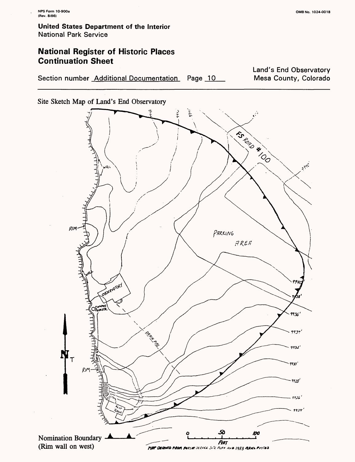### **National Register of Historic Places Continuation Sheet**

Section number Additional Documentation Page 10

Land's End Observatory Mesa County, Colorado

Site Sketch Map of Land's End Observatory